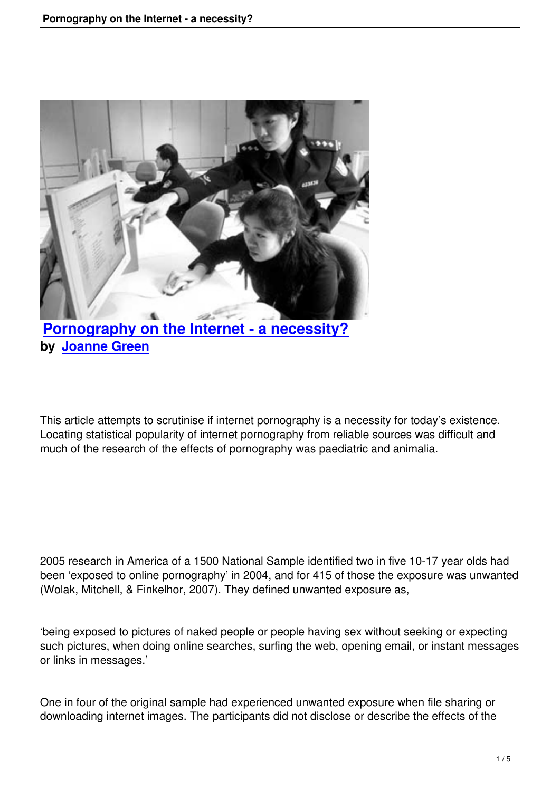

## **Pornography on the Internet - a necessity? by Joanne Green**

This article attempts to scrutinise if internet pornography is a necessity for today's existence. Locating statistical popularity of internet pornography from reliable sources was difficult and much of the research of the effects of pornography was paediatric and animalia.

2005 research in America of a 1500 National Sample identified two in five 10-17 year olds had been 'exposed to online pornography' in 2004, and for 415 of those the exposure was unwanted (Wolak, Mitchell, & Finkelhor, 2007). They defined unwanted exposure as,

'being exposed to pictures of naked people or people having sex without seeking or expecting such pictures, when doing online searches, surfing the web, opening email, or instant messages or links in messages.'

One in four of the original sample had experienced unwanted exposure when file sharing or downloading internet images. The participants did not disclose or describe the effects of the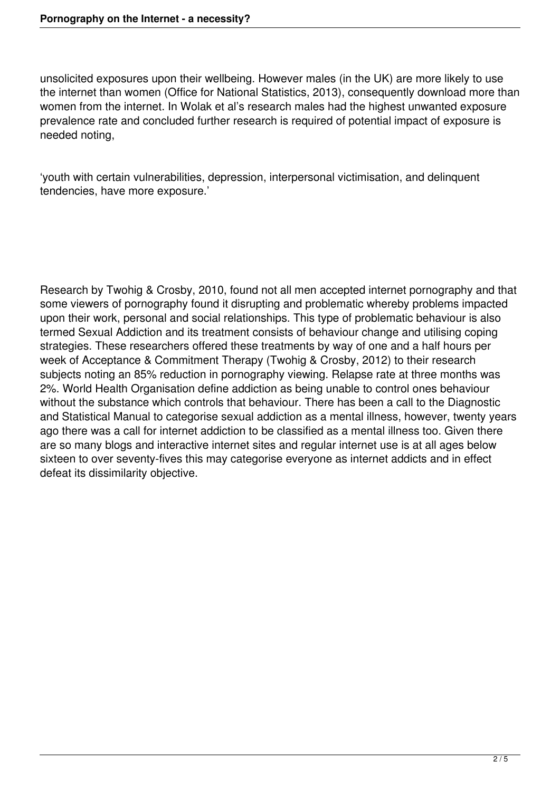unsolicited exposures upon their wellbeing. However males (in the UK) are more likely to use the internet than women (Office for National Statistics, 2013), consequently download more than women from the internet. In Wolak et al's research males had the highest unwanted exposure prevalence rate and concluded further research is required of potential impact of exposure is needed noting,

'youth with certain vulnerabilities, depression, interpersonal victimisation, and delinquent tendencies, have more exposure.'

Research by Twohig & Crosby, 2010, found not all men accepted internet pornography and that some viewers of pornography found it disrupting and problematic whereby problems impacted upon their work, personal and social relationships. This type of problematic behaviour is also termed Sexual Addiction and its treatment consists of behaviour change and utilising coping strategies. These researchers offered these treatments by way of one and a half hours per week of Acceptance & Commitment Therapy (Twohig & Crosby, 2012) to their research subjects noting an 85% reduction in pornography viewing. Relapse rate at three months was 2%. World Health Organisation define addiction as being unable to control ones behaviour without the substance which controls that behaviour. There has been a call to the Diagnostic and Statistical Manual to categorise sexual addiction as a mental illness, however, twenty years ago there was a call for internet addiction to be classified as a mental illness too. Given there are so many blogs and interactive internet sites and regular internet use is at all ages below sixteen to over seventy-fives this may categorise everyone as internet addicts and in effect defeat its dissimilarity objective.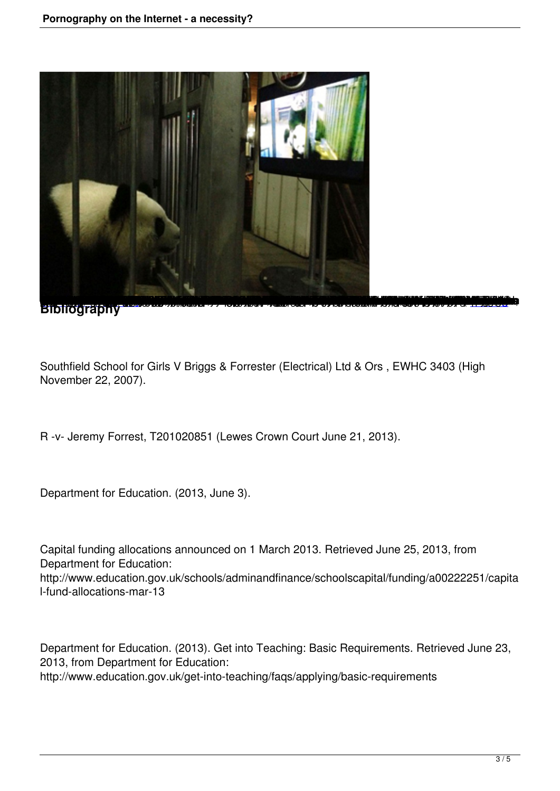

**Bibliography** 

Southfield School for Girls V Briggs & Forrester (Electrical) Ltd & Ors , EWHC 3403 (High November 22, 2007).

R -v- Jeremy Forrest, T201020851 (Lewes Crown Court June 21, 2013).

Department for Education. (2013, June 3).

Capital funding allocations announced on 1 March 2013. Retrieved June 25, 2013, from Department for Education: http://www.education.gov.uk/schools/adminandfinance/schoolscapital/funding/a00222251/capita l-fund-allocations-mar-13

Department for Education. (2013). Get into Teaching: Basic Requirements. Retrieved June 23, 2013, from Department for Education: http://www.education.gov.uk/get-into-teaching/faqs/applying/basic-requirements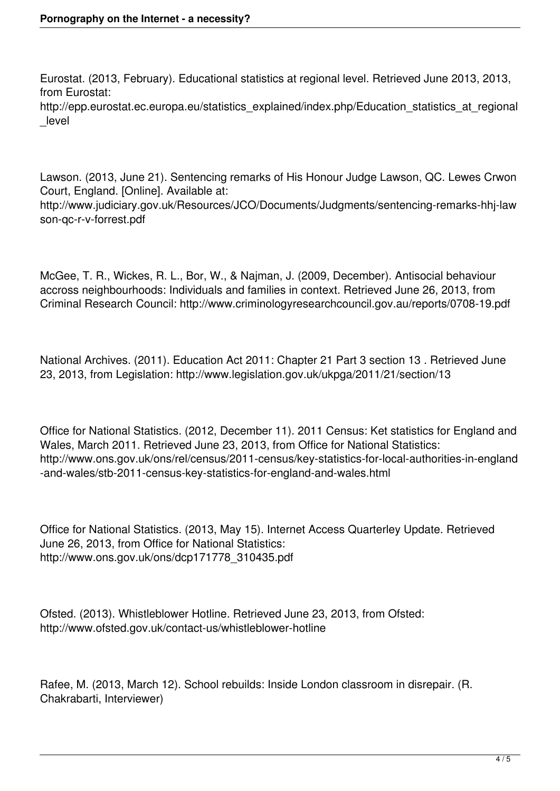Eurostat. (2013, February). Educational statistics at regional level. Retrieved June 2013, 2013, from Eurostat:

http://epp.eurostat.ec.europa.eu/statistics\_explained/index.php/Education\_statistics\_at\_regional \_level

Lawson. (2013, June 21). Sentencing remarks of His Honour Judge Lawson, QC. Lewes Crwon Court, England. [Online]. Available at: http://www.judiciary.gov.uk/Resources/JCO/Documents/Judgments/sentencing-remarks-hhj-law son-qc-r-v-forrest.pdf

McGee, T. R., Wickes, R. L., Bor, W., & Najman, J. (2009, December). Antisocial behaviour accross neighbourhoods: Individuals and families in context. Retrieved June 26, 2013, from Criminal Research Council: http://www.criminologyresearchcouncil.gov.au/reports/0708-19.pdf

National Archives. (2011). Education Act 2011: Chapter 21 Part 3 section 13 . Retrieved June 23, 2013, from Legislation: http://www.legislation.gov.uk/ukpga/2011/21/section/13

Office for National Statistics. (2012, December 11). 2011 Census: Ket statistics for England and Wales, March 2011. Retrieved June 23, 2013, from Office for National Statistics: http://www.ons.gov.uk/ons/rel/census/2011-census/key-statistics-for-local-authorities-in-england -and-wales/stb-2011-census-key-statistics-for-england-and-wales.html

Office for National Statistics. (2013, May 15). Internet Access Quarterley Update. Retrieved June 26, 2013, from Office for National Statistics: http://www.ons.gov.uk/ons/dcp171778\_310435.pdf

Ofsted. (2013). Whistleblower Hotline. Retrieved June 23, 2013, from Ofsted: http://www.ofsted.gov.uk/contact-us/whistleblower-hotline

Rafee, M. (2013, March 12). School rebuilds: Inside London classroom in disrepair. (R. Chakrabarti, Interviewer)